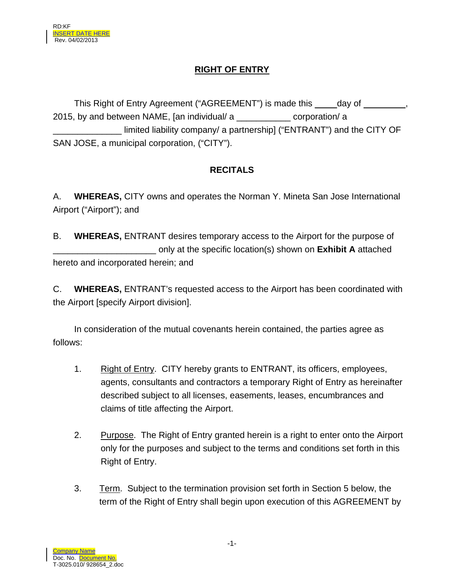# **RIGHT OF ENTRY**

This Right of Entry Agreement ("AGREEMENT") is made this \_\_\_\_\_day of \_\_\_\_\_\_\_\_, 2015, by and between NAME, [an individual/ a \_\_\_\_\_\_\_\_\_\_\_ corporation/ a limited liability company/ a partnership] ("ENTRANT") and the CITY OF SAN JOSE, a municipal corporation, ("CITY").

# **RECITALS**

A. **WHEREAS,** CITY owns and operates the Norman Y. Mineta San Jose International Airport ("Airport"); and

B. **WHEREAS,** ENTRANT desires temporary access to the Airport for the purpose of only at the specific location(s) shown on **Exhibit A** attached hereto and incorporated herein; and

C. **WHEREAS,** ENTRANT's requested access to the Airport has been coordinated with the Airport [specify Airport division].

 In consideration of the mutual covenants herein contained, the parties agree as follows:

- 1. Right of Entry. CITY hereby grants to ENTRANT, its officers, employees, agents, consultants and contractors a temporary Right of Entry as hereinafter described subject to all licenses, easements, leases, encumbrances and claims of title affecting the Airport.
- 2. Purpose. The Right of Entry granted herein is a right to enter onto the Airport only for the purposes and subject to the terms and conditions set forth in this Right of Entry.
- 3. Term. Subject to the termination provision set forth in Section 5 below, the term of the Right of Entry shall begin upon execution of this AGREEMENT by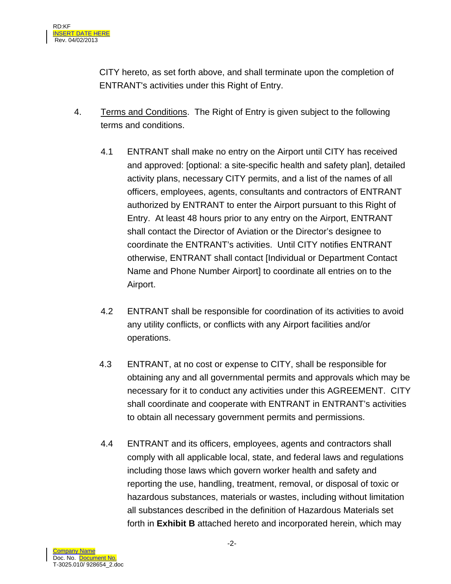CITY hereto, as set forth above, and shall terminate upon the completion of ENTRANT's activities under this Right of Entry.

- 4. Terms and Conditions. The Right of Entry is given subject to the following terms and conditions.
	- 4.1 ENTRANT shall make no entry on the Airport until CITY has received and approved: [optional: a site-specific health and safety plan], detailed activity plans, necessary CITY permits, and a list of the names of all officers, employees, agents, consultants and contractors of ENTRANT authorized by ENTRANT to enter the Airport pursuant to this Right of Entry. At least 48 hours prior to any entry on the Airport, ENTRANT shall contact the Director of Aviation or the Director's designee to coordinate the ENTRANT's activities. Until CITY notifies ENTRANT otherwise, ENTRANT shall contact [Individual or Department Contact Name and Phone Number Airport] to coordinate all entries on to the Airport.
	- 4.2 ENTRANT shall be responsible for coordination of its activities to avoid any utility conflicts, or conflicts with any Airport facilities and/or operations.
	- 4.3 ENTRANT, at no cost or expense to CITY, shall be responsible for obtaining any and all governmental permits and approvals which may be necessary for it to conduct any activities under this AGREEMENT. CITY shall coordinate and cooperate with ENTRANT in ENTRANT's activities to obtain all necessary government permits and permissions.
	- 4.4 ENTRANT and its officers, employees, agents and contractors shall comply with all applicable local, state, and federal laws and regulations including those laws which govern worker health and safety and reporting the use, handling, treatment, removal, or disposal of toxic or hazardous substances, materials or wastes, including without limitation all substances described in the definition of Hazardous Materials set forth in **Exhibit B** attached hereto and incorporated herein, which may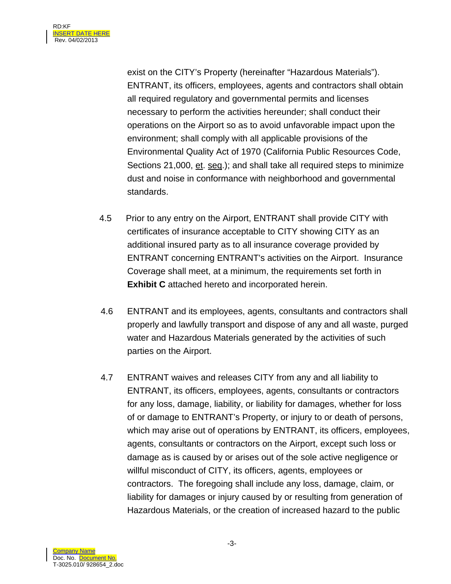exist on the CITY's Property (hereinafter "Hazardous Materials"). ENTRANT, its officers, employees, agents and contractors shall obtain all required regulatory and governmental permits and licenses necessary to perform the activities hereunder; shall conduct their operations on the Airport so as to avoid unfavorable impact upon the environment; shall comply with all applicable provisions of the Environmental Quality Act of 1970 (California Public Resources Code, Sections 21,000, et. seq.); and shall take all required steps to minimize dust and noise in conformance with neighborhood and governmental standards.

- 4.5 Prior to any entry on the Airport, ENTRANT shall provide CITY with certificates of insurance acceptable to CITY showing CITY as an additional insured party as to all insurance coverage provided by ENTRANT concerning ENTRANT's activities on the Airport. Insurance Coverage shall meet, at a minimum, the requirements set forth in **Exhibit C** attached hereto and incorporated herein.
- 4.6 ENTRANT and its employees, agents, consultants and contractors shall properly and lawfully transport and dispose of any and all waste, purged water and Hazardous Materials generated by the activities of such parties on the Airport.
- 4.7 ENTRANT waives and releases CITY from any and all liability to ENTRANT, its officers, employees, agents, consultants or contractors for any loss, damage, liability, or liability for damages, whether for loss of or damage to ENTRANT's Property, or injury to or death of persons, which may arise out of operations by ENTRANT, its officers, employees, agents, consultants or contractors on the Airport, except such loss or damage as is caused by or arises out of the sole active negligence or willful misconduct of CITY, its officers, agents, employees or contractors. The foregoing shall include any loss, damage, claim, or liability for damages or injury caused by or resulting from generation of Hazardous Materials, or the creation of increased hazard to the public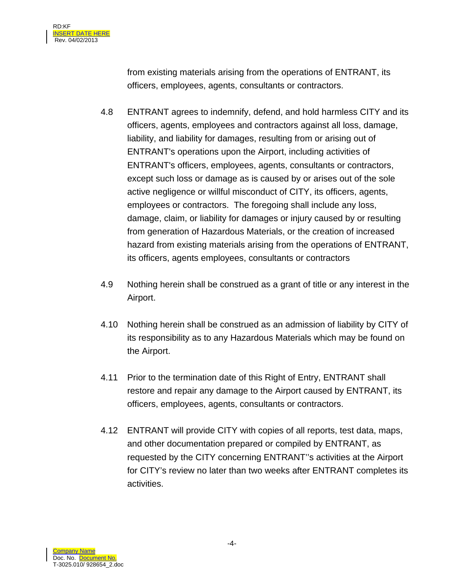from existing materials arising from the operations of ENTRANT, its officers, employees, agents, consultants or contractors.

- 4.8 ENTRANT agrees to indemnify, defend, and hold harmless CITY and its officers, agents, employees and contractors against all loss, damage, liability, and liability for damages, resulting from or arising out of ENTRANT's operations upon the Airport, including activities of ENTRANT's officers, employees, agents, consultants or contractors, except such loss or damage as is caused by or arises out of the sole active negligence or willful misconduct of CITY, its officers, agents, employees or contractors. The foregoing shall include any loss, damage, claim, or liability for damages or injury caused by or resulting from generation of Hazardous Materials, or the creation of increased hazard from existing materials arising from the operations of ENTRANT, its officers, agents employees, consultants or contractors
- 4.9 Nothing herein shall be construed as a grant of title or any interest in the Airport.
- 4.10 Nothing herein shall be construed as an admission of liability by CITY of its responsibility as to any Hazardous Materials which may be found on the Airport.
- 4.11 Prior to the termination date of this Right of Entry, ENTRANT shall restore and repair any damage to the Airport caused by ENTRANT, its officers, employees, agents, consultants or contractors.
- 4.12 ENTRANT will provide CITY with copies of all reports, test data, maps, and other documentation prepared or compiled by ENTRANT, as requested by the CITY concerning ENTRANT''s activities at the Airport for CITY's review no later than two weeks after ENTRANT completes its activities.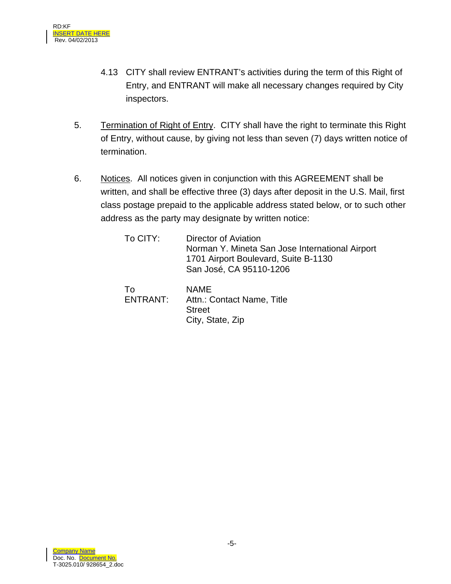- 4.13 CITY shall review ENTRANT's activities during the term of this Right of Entry, and ENTRANT will make all necessary changes required by City inspectors.
- 5. Termination of Right of Entry. CITY shall have the right to terminate this Right of Entry, without cause, by giving not less than seven (7) days written notice of termination.
- 6. Notices. All notices given in conjunction with this AGREEMENT shall be written, and shall be effective three (3) days after deposit in the U.S. Mail, first class postage prepaid to the applicable address stated below, or to such other address as the party may designate by written notice:

| To CITY: | Director of Aviation                            |
|----------|-------------------------------------------------|
|          | Norman Y. Mineta San Jose International Airport |
|          | 1701 Airport Boulevard, Suite B-1130            |
|          | San José, CA 95110-1206                         |

To ENTRANT: NAME Attn.: Contact Name, Title **Street** City, State, Zip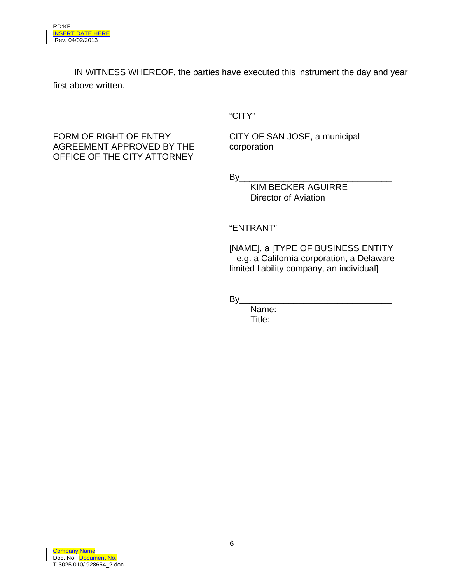IN WITNESS WHEREOF, the parties have executed this instrument the day and year first above written.

"CITY"

FORM OF RIGHT OF ENTRY AGREEMENT APPROVED BY THE OFFICE OF THE CITY ATTORNEY

CITY OF SAN JOSE, a municipal corporation

By\_\_\_\_\_\_\_\_\_\_\_\_\_\_\_\_\_\_\_\_\_\_\_\_\_\_\_\_\_\_\_

KIM BECKER AGUIRRE Director of Aviation

## "ENTRANT"

[NAME], a [TYPE OF BUSINESS ENTITY – e.g. a California corporation, a Delaware limited liability company, an individual]

By\_\_\_\_\_\_\_\_\_\_\_\_\_\_\_\_\_\_\_\_\_\_\_\_\_\_\_\_\_\_\_

Name: Title: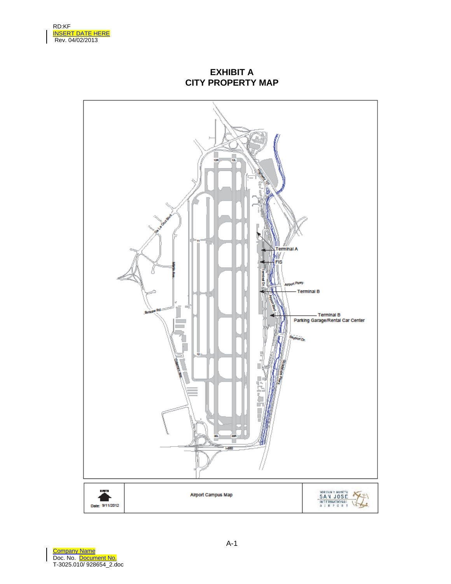

**EXHIBIT A CITY PROPERTY MAP** 



Company Name Doc. No. Document No. T-3025.010/ 928654\_2.doc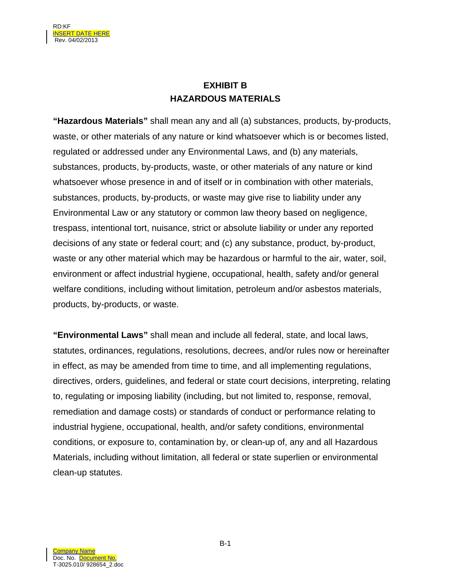# **EXHIBIT B HAZARDOUS MATERIALS**

**"Hazardous Materials"** shall mean any and all (a) substances, products, by-products, waste, or other materials of any nature or kind whatsoever which is or becomes listed, regulated or addressed under any Environmental Laws, and (b) any materials, substances, products, by-products, waste, or other materials of any nature or kind whatsoever whose presence in and of itself or in combination with other materials, substances, products, by-products, or waste may give rise to liability under any Environmental Law or any statutory or common law theory based on negligence, trespass, intentional tort, nuisance, strict or absolute liability or under any reported decisions of any state or federal court; and (c) any substance, product, by-product, waste or any other material which may be hazardous or harmful to the air, water, soil, environment or affect industrial hygiene, occupational, health, safety and/or general welfare conditions, including without limitation, petroleum and/or asbestos materials, products, by-products, or waste.

**"Environmental Laws"** shall mean and include all federal, state, and local laws, statutes, ordinances, regulations, resolutions, decrees, and/or rules now or hereinafter in effect, as may be amended from time to time, and all implementing regulations, directives, orders, guidelines, and federal or state court decisions, interpreting, relating to, regulating or imposing liability (including, but not limited to, response, removal, remediation and damage costs) or standards of conduct or performance relating to industrial hygiene, occupational, health, and/or safety conditions, environmental conditions, or exposure to, contamination by, or clean-up of, any and all Hazardous Materials, including without limitation, all federal or state superlien or environmental clean-up statutes.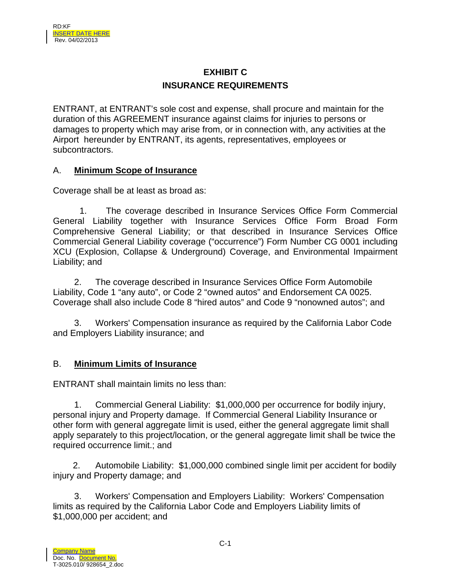# **EXHIBIT C INSURANCE REQUIREMENTS**

ENTRANT, at ENTRANT's sole cost and expense, shall procure and maintain for the duration of this AGREEMENT insurance against claims for injuries to persons or damages to property which may arise from, or in connection with, any activities at the Airport hereunder by ENTRANT, its agents, representatives, employees or subcontractors.

## A. **Minimum Scope of Insurance**

Coverage shall be at least as broad as:

 1. The coverage described in Insurance Services Office Form Commercial General Liability together with Insurance Services Office Form Broad Form Comprehensive General Liability; or that described in Insurance Services Office Commercial General Liability coverage ("occurrence") Form Number CG 0001 including XCU (Explosion, Collapse & Underground) Coverage, and Environmental Impairment Liability; and

 2. The coverage described in Insurance Services Office Form Automobile Liability, Code 1 "any auto", or Code 2 "owned autos" and Endorsement CA 0025. Coverage shall also include Code 8 "hired autos" and Code 9 "nonowned autos"; and

 3. Workers' Compensation insurance as required by the California Labor Code and Employers Liability insurance; and

## B. **Minimum Limits of Insurance**

ENTRANT shall maintain limits no less than:

 1. Commercial General Liability: \$1,000,000 per occurrence for bodily injury, personal injury and Property damage. If Commercial General Liability Insurance or other form with general aggregate limit is used, either the general aggregate limit shall apply separately to this project/location, or the general aggregate limit shall be twice the required occurrence limit.; and

 2. Automobile Liability: \$1,000,000 combined single limit per accident for bodily injury and Property damage; and

 3. Workers' Compensation and Employers Liability: Workers' Compensation limits as required by the California Labor Code and Employers Liability limits of \$1,000,000 per accident; and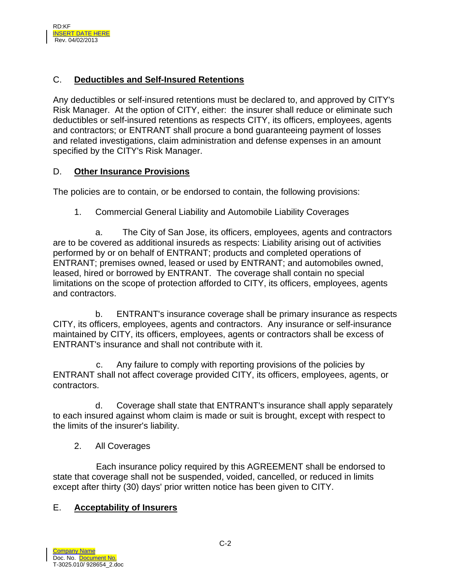## C. **Deductibles and Self-Insured Retentions**

Any deductibles or self-insured retentions must be declared to, and approved by CITY's Risk Manager. At the option of CITY, either: the insurer shall reduce or eliminate such deductibles or self-insured retentions as respects CITY, its officers, employees, agents and contractors; or ENTRANT shall procure a bond guaranteeing payment of losses and related investigations, claim administration and defense expenses in an amount specified by the CITY's Risk Manager.

#### D. **Other Insurance Provisions**

The policies are to contain, or be endorsed to contain, the following provisions:

1. Commercial General Liability and Automobile Liability Coverages

 a. The City of San Jose, its officers, employees, agents and contractors are to be covered as additional insureds as respects: Liability arising out of activities performed by or on behalf of ENTRANT; products and completed operations of ENTRANT; premises owned, leased or used by ENTRANT; and automobiles owned, leased, hired or borrowed by ENTRANT. The coverage shall contain no special limitations on the scope of protection afforded to CITY, its officers, employees, agents and contractors.

 b. ENTRANT's insurance coverage shall be primary insurance as respects CITY, its officers, employees, agents and contractors. Any insurance or self-insurance maintained by CITY, its officers, employees, agents or contractors shall be excess of ENTRANT's insurance and shall not contribute with it.

c. Any failure to comply with reporting provisions of the policies by ENTRANT shall not affect coverage provided CITY, its officers, employees, agents, or contractors.

 d. Coverage shall state that ENTRANT's insurance shall apply separately to each insured against whom claim is made or suit is brought, except with respect to the limits of the insurer's liability.

## 2. All Coverages

Each insurance policy required by this AGREEMENT shall be endorsed to state that coverage shall not be suspended, voided, cancelled, or reduced in limits except after thirty (30) days' prior written notice has been given to CITY.

## E. **Acceptability of Insurers**